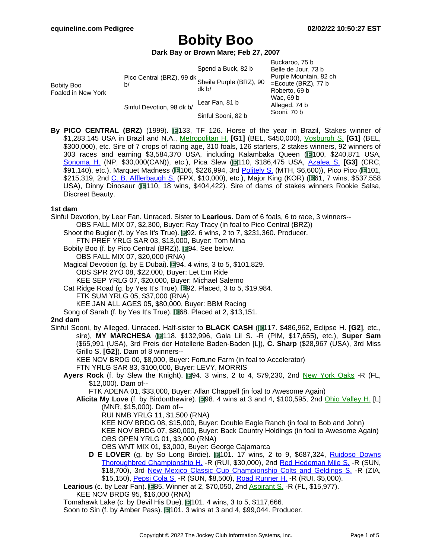### **Dark Bay or Brown Mare; Feb 27, 2007**

|                                         |                                                      |                    | Buckaroo, 75 b         |
|-----------------------------------------|------------------------------------------------------|--------------------|------------------------|
| <b>Bobity Boo</b><br>Foaled in New York | Pico Central (BRZ), 99 dk<br>Sheila Purple (BRZ), 90 | Spend a Buck, 82 b | Belle de Jour, 73 b    |
|                                         |                                                      | dk b/              | Purple Mountain, 82 ch |
|                                         |                                                      |                    | $=$ Ecoute (BRZ), 77 b |
|                                         |                                                      |                    | Roberto, 69 b          |
|                                         | Sinful Devotion, 98 dk b/                            | Lear Fan, 81 b     | Wac, 69 b              |
|                                         |                                                      |                    | Alleged, 74 b          |
|                                         |                                                      | Sinful Sooni, 82 b | Sooni, 70 b            |

**By PICO CENTRAL (BRZ)** (1999). **133**, TF 126. Horse of the year in Brazil, Stakes winner of \$1,283,145 USA in Brazil and N.A., [Metropolitan](https://www.equineline.com/dotVideoChart.cfm?track=BEL&country=USA&race_date=2004-05-31&refno=6274345®istry=T&race_name=Metropolitan+H.&race_number=9&day_evening=D&product_reference_number=40PA) H. **[G1]** (BEL, \$450,000), V[osburgh](https://www.equineline.com/dotVideoChart.cfm?track=BEL&country=USA&race_date=2004-10-02&refno=6274345®istry=T&race_name=Vosburgh+S.&race_number=8&day_evening=D&product_reference_number=40PA) S. **[G1]** (BEL, \$300,000), etc. Sire of 7 crops of racing age, 310 foals, 126 starters, 2 stakes winners, 92 winners of 303 races and earning \$3,584,370 USA, including Kalambaka Queen (1100, \$240,871 USA, [Sonoma](https://www.equineline.com/dotVideoChart.cfm?track=NP+&country=CAN&race_date=2011-08-20&raceid=mp4:2011/1308/201108201627NDT9_1308.f4v&refno=8315748®istry=T&race_name=Sonoma+H.&race_number=9&day_evening=D&product_reference_number=40PA) H. (NP, \$30,000(CAN)), etc.), Pica Slew ( 110, \$186,475 USA, Azalea S. **[\[G3\]](https://www.equineline.com/dotVideoChart.cfm?track=CRC&country=USA&race_date=2010-07-10&raceid=mp4:2010/1308/201007101617CRM8_1308.f4v&refno=8046630®istry=T&race_name=Azalea+S.&race_number=8&day_evening=D&product_reference_number=40PA)** (CRC, \$91,140), etc.), Marquet Madness (1106, \$226,994, 3rd [Politely](https://www.equineline.com/dotVideoChart.cfm?track=MTH&country=USA&race_date=2011-09-18&raceid=mp4:2011/1308/201109181724MTD10_1308.f4v&refno=8058688®istry=T&race_name=Politely+S.&race_number=10&day_evening=D&product_reference_number=40PA) S. (MTH, \$6,600)), Pico Pico (1101, \$215,319, 2nd C. B. [Afflerbaugh](https://www.equineline.com/dotVideoChart.cfm?track=FPX&country=USA&race_date=2009-09-16&raceid=mp4:2009/1308/200909161951FPD10_1308.f4v&refno=8040164®istry=T&race_name=C.+B.+Afflerbaugh+S.&race_number=10&day_evening=D&product_reference_number=40PA) S. (FPX, \$10,000), etc.), Major King (KOR) ( $\blacksquare$ 61, 7 wins, \$537,558 USA), Dinny Dinosaur (110, 18 wins, \$404,422). Sire of dams of stakes winners Rookie Salsa, Discreet Beauty.

#### **1st dam**

Sinful Devotion, by Lear Fan. Unraced. Sister to **Learious**. Dam of 6 foals, 6 to race, 3 winners-- OBS FALL MIX 07, \$2,300, Buyer: Ray Tracy (in foal to Pico Central (BRZ))

Shoot the Bugler (f. by Yes It's True).  $\Box$ 92. 6 wins, 2 to 7, \$231,360. Producer.

FTN PREF YRLG SAR 03, \$13,000, Buyer: Tom Mina

Bobity Boo (f. by Pico Central (BRZ)). 194. See below.

OBS FALL MIX 07, \$20,000 (RNA)

Magical Devotion (g. by E Dubai). 194. 4 wins, 3 to 5, \$101,829. OBS SPR 2YO 08, \$22,000, Buyer: Let Em Ride

KEE SEP YRLG 07, \$20,000, Buyer: Michael Salerno

Cat Ridge Road (g. by Yes It's True).  $\blacksquare 92$ . Placed, 3 to 5, \$19,984.

FTK SUM YRLG 05, \$37,000 (RNA)

KEE JAN ALL AGES 05, \$80,000, Buyer: BBM Racing

Song of Sarah (f. by Yes It's True).  $\Box$  68. Placed at 2, \$13,151.

#### **2nd dam**

Sinful Sooni, by Alleged. Unraced. Half-sister to **BLACK CASH** ( 117. \$486,962, Eclipse H. **[G2]**, etc., sire), **MY MARCHESA** ( 118. \$132,996, Gala Lil S. -R (PIM, \$17,655), etc.), **Super Sam** (\$65,991 (USA), 3rd Preis der Hotellerie Baden-Baden [L]), **C. Sharp** (\$28,967 (USA), 3rd Miss Grillo S. **[G2]**). Dam of 8 winners--

KEE NOV BRDG 00, \$8,000, Buyer: Fortune Farm (in foal to Accelerator)

FTN YRLG SAR 83, \$100,000, Buyer: LEVY, MORRIS

Ayers Rock (f. by Slew the Knight). **194. 3 wins, 2 to 4, \$79,230, 2nd New York [Oaks](https://www.equineline.com/dotVideoChart.cfm?track=FL+&country=USA&race_date=1997-08-02&refno=1434079®istry=T&race_name=New+York+Oaks&race_number=7&day_evening=D&product_reference_number=40PA) -R (FL,** \$12,000). Dam of--

FTK ADENA 01, \$33,000, Buyer: Allan Chappell (in foal to Awesome Again)

Alicita My Love (f. by Birdonthewire). 198. 4 wins at 3 and 4, \$100,595, 2nd Ohio [Valley](https://www.equineline.com/dotVideoChart.cfm?track=MNR&country=USA&race_date=2004-06-01&refno=5292290®istry=T&race_name=Ohio+Valley+H.&race_number=9&day_evening=D&product_reference_number=40PA) H. [L] (MNR, \$15,000). Dam of--

RUI NMB YRLG 11, \$1,500 (RNA)

KEE NOV BRDG 08, \$15,000, Buyer: Double Eagle Ranch (in foal to Bob and John)

KEE NOV BRDG 07, \$80,000, Buyer: Back Country Holdings (in foal to Awesome Again) OBS OPEN YRLG 01, \$3,000 (RNA)

OBS WNT MIX 01, \$3,000, Buyer: George Cajamarca

**D E LOVER** (g. by So Long Birdie). 101. 17 wins, 2 to 9, \$687,324, Ruidoso [Downs](https://www.equineline.com/dotVideoChart.cfm?track=RUI&country=USA&race_date=2016-09-05&raceid=mp4:2016/1308/201609051722RUD7_1308.mp4&refno=9077996®istry=T&race_name=Ruidoso+Downs+Thoroughbred+Championship+H.&race_number=7&day_evening=D&product_reference_number=40PA) Thoroughbred [Championship](https://www.equineline.com/dotVideoChart.cfm?track=RUI&country=USA&race_date=2016-09-05&raceid=mp4:2016/1308/201609051722RUD7_1308.mp4&refno=9077996®istry=T&race_name=Ruidoso+Downs+Thoroughbred+Championship+H.&race_number=7&day_evening=D&product_reference_number=40PA) H. -R (RUI, \$30,000), 2nd Red [Hedeman](https://www.equineline.com/dotVideoChart.cfm?track=SUN&country=USA&race_date=2013-12-28&raceid=mp4:2013/1308/201312281802SND10_1308.f4v&refno=9077996®istry=T&race_name=Red+Hedeman+Mile+S.&race_number=10&day_evening=D&product_reference_number=40PA) Mile S. -R (SUN, \$18,700), 3rd New Mexico Classic Cup [Championship](https://www.equineline.com/dotVideoChart.cfm?track=ZIA&country=USA&race_date=2014-10-26&raceid=mp4:2014/1308/201410261757NZM9_1308.f4v&refno=9077996®istry=T&race_name=New+Mexico+Classic+Cup+Championship+Colts+and+Geldings+S.&race_number=9&day_evening=D&product_reference_number=40PA) Colts and Geldings S. -R (ZIA, \$15,150), [Pepsi](https://www.equineline.com/dotVideoChart.cfm?track=SUN&country=USA&race_date=2014-01-18&raceid=mp4:2014/1308/201401181821SND10_1308.f4v&refno=9077996®istry=T&race_name=Pepsi+Cola+S.&race_number=10&day_evening=D&product_reference_number=40PA) Cola S. -R (SUN, \$8,500), Road [Runner](https://www.equineline.com/dotVideoChart.cfm?track=RUI&country=USA&race_date=2014-07-27&raceid=mp4:2014/1308/201407271736RUD7_1308.f4v&refno=9077996®istry=T&race_name=Road+Runner+H.&race_number=7&day_evening=D&product_reference_number=40PA) H. -R (RUI, \$5,000).

**Learious** (c. by Lear Fan). **1985.** Winner at 2, \$70,050, 2nd [Aspirant](https://www.equineline.com/dotVideoChart.cfm?track=FL+&country=USA&race_date=1997-08-16&refno=4005392®istry=T&race_name=Aspirant+S.&race_number=9&day_evening=D&product_reference_number=40PA) S. -R (FL, \$15,977).

KEE NOV BRDG 95, \$16,000 (RNA)

Tomahawk Lake (c. by Devil His Due).  $\Box$ 101. 4 wins, 3 to 5, \$117,666.

Soon to Sin (f. by Amber Pass).  $\blacksquare$ 101. 3 wins at 3 and 4, \$99,044. Producer.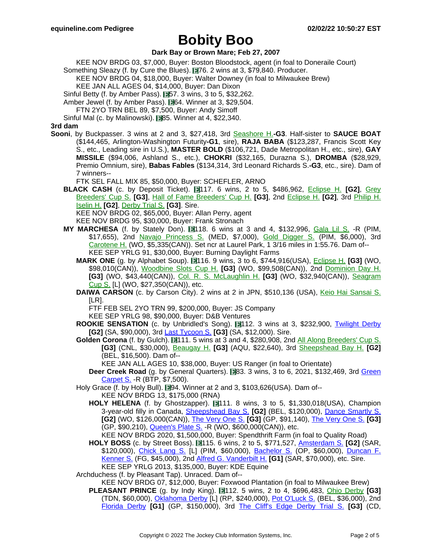#### **Dark Bay or Brown Mare; Feb 27, 2007**

KEE NOV BRDG 03, \$7,000, Buyer: Boston Bloodstock, agent (in foal to Doneraile Court)

Something Sleazy (f. by Cure the Blues). 176. 2 wins at 3, \$79,840. Producer.

KEE NOV BRDG 04, \$18,000, Buyer: Walter Downey (in foal to Milwaukee Brew)

KEE JAN ALL AGES 04, \$14,000, Buyer: Dan Dixon

Sinful Betty (f. by Amber Pass).  $\Box$  57. 3 wins, 3 to 5, \$32,262.

Amber Jewel (f. by Amber Pass). **164.** Winner at 3, \$29,504.

FTN 2YO TRN BEL 89, \$7,500, Buyer: Andy Simoff

Sinful Mal (c. by Malinowski). 85. Winner at 4, \$22,340.

#### **3rd dam**

**Sooni**, by Buckpasser. 3 wins at 2 and 3, \$27,418, 3rd Se[ashore](https://www.equineline.com/dotVideoChart.cfm?track=ATL&country=USA&race_date=1973-10-20&refno=468955®istry=T&race_name=Seashore+H.&race_number=8&day_evening=D&product_reference_number=40PA) H.**-G3**. Half-sister to **SAUCE BOAT** (\$144,465, Arlington-Washington Futurity**-G1**, sire), **RAJA BABA** (\$123,287, Francis Scott Key S., etc., Leading sire in U.S.), **MASTER BOLD** (\$106,721, Dade Metropolitan H., etc., sire), **GAY MISSILE** (\$94,006, Ashland S., etc.), **CHOKRI** (\$32,165, Durazna S.), **DROMBA** (\$28,929, Premio Omnium, sire), **Babas Fables** (\$134,314, 3rd Leonard Richards S.**-G3**, etc., sire). Dam of 7 winners--

FTK SEL FALL MIX 85, \$50,000, Buyer: SCHEFLER, ARNO

**BLACK CASH** (c. by Deposit Ticket). 117. 6 wins, 2 to 5, \$486,962, Eclipse H. **[\[G2\]](https://www.equineline.com/dotVideoChart.cfm?track=WO+&country=CAN&race_date=2000-05-14&refno=4004837®istry=T&race_name=Eclipse+H.&race_number=8&day_evening=D&product_reference_number=40PA)**, Grey [Breeders'](https://www.equineline.com/dotVideoChart.cfm?track=WO+&country=CAN&race_date=1997-10-11&refno=4004837®istry=T&race_name=Grey+Breeders) Cup S. **[G3]**, Hall of Fame [Breeders'](https://www.equineline.com/dotVideoChart.cfm?track=TDN&country=USA&race_date=1999-08-08&refno=4004837®istry=T&race_name=Hall+of+Fame+Breeders) Cup H. **[G3]**, 2nd Ec[lipse](https://www.equineline.com/dotVideoChart.cfm?track=WO+&country=CAN&race_date=2001-05-12&refno=4004837®istry=T&race_name=Eclipse+H.&race_number=8&day_evening=D&product_reference_number=40PA) H. **[G2]**, 3rd Philip [H.](https://www.equineline.com/dotVideoChart.cfm?track=MTH&country=USA&race_date=1999-07-04&refno=4004837®istry=T&race_name=Philip+H.+Iselin+H.&race_number=10&day_evening=D&product_reference_number=40PA) [Iselin](https://www.equineline.com/dotVideoChart.cfm?track=MTH&country=USA&race_date=1999-07-04&refno=4004837®istry=T&race_name=Philip+H.+Iselin+H.&race_number=10&day_evening=D&product_reference_number=40PA) H. **[G2]**, [Derby](https://www.equineline.com/dotVideoChart.cfm?track=CD+&country=USA&race_date=1998-04-25&refno=4004837®istry=T&race_name=Derby+Trial+S.&race_number=9&day_evening=D&product_reference_number=40PA) Trial S. **[G3]**. Sire.

KEE NOV BRDG 02, \$65,000, Buyer: Allan Perry, agent

KEE NOV BRDG 95, \$30,000, Buyer: Frank Stronach

- **MY MARCHESA** (f. by Stately Don). 118. 6 wins at 3 and 4, \$132,996, Gala Lil S. [-R \(P](https://www.equineline.com/dotVideoChart.cfm?track=PIM&country=USA&race_date=1993-10-03&refno=1289573®istry=T&race_name=Gala+Lil+S.&race_number=9&day_evening=D&product_reference_number=40PA)IM, \$17,655), 2nd Navajo [Princess](https://www.equineline.com/dotVideoChart.cfm?track=MED&country=USA&race_date=1994-10-21&refno=1289573®istry=T&race_name=Navajo+Princess+S.&race_number=10&day_evening=E&product_reference_number=40PA) S. (MED, \$7,000), Gold [Digger](https://www.equineline.com/dotVideoChart.cfm?track=PIM&country=USA&race_date=1994-05-29&refno=1289573®istry=T&race_name=Gold+Digger+S.&race_number=9&day_evening=D&product_reference_number=40PA) S. (PIM, \$6,000), 3rd [Carotene](https://www.equineline.com/dotVideoChart.cfm?track=WO+&country=CAN&race_date=1995-11-04&refno=1289573®istry=T&race_name=Carotene+H.&race_number=6&day_evening=D&product_reference_number=40PA) H. (WO, \$5,335(CAN)). Set ncr at Laurel Park, 1 3/16 miles in 1:55.76. Dam of-- KEE SEP YRLG 91, \$30,000, Buyer: Burning Daylight Farms
	- **MARK ONE** (g. by Alphabet Soup). 116. 9 wins, 3 to 6, \$744,916(USA), **E[clipse](https://www.equineline.com/dotVideoChart.cfm?track=WO+&country=CAN&race_date=2004-05-24&refno=4680100®istry=T&race_name=Eclipse+H.&race_number=8&day_evening=D&product_reference_number=40PA) H. [G3]** (WO, \$98,010(CAN)), [Woodbine](https://www.equineline.com/dotVideoChart.cfm?track=WO+&country=CAN&race_date=2004-11-20&refno=4680100®istry=T&race_name=Woodbine+Slots+Cup+H.&race_number=8&day_evening=D&product_reference_number=40PA) Slots Cup H. **[G3]** (WO, \$99,508(CAN)), 2nd Do[minion](https://www.equineline.com/dotVideoChart.cfm?track=WO+&country=CAN&race_date=2004-07-01&refno=4680100®istry=T&race_name=Dominion+Day+H.&race_number=8&day_evening=D&product_reference_number=40PA) Day H. **[G3]** (WO, \$43,440(CAN)), Col. R. S. [McLaughlin](https://www.equineline.com/dotVideoChart.cfm?track=WO+&country=CAN&race_date=2002-09-14&refno=4680100®istry=T&race_name=Col.+R.+S.+McLaughlin+H.&race_number=8&day_evening=D&product_reference_number=40PA) H. **[G3]** (WO, \$32,940(CAN)), Se[agram](https://www.equineline.com/dotVideoChart.cfm?track=WO+&country=CAN&race_date=2004-08-07&refno=4680100®istry=T&race_name=Seagram+Cup+S.&race_number=8&day_evening=D&product_reference_number=40PA) [Cup](https://www.equineline.com/dotVideoChart.cfm?track=WO+&country=CAN&race_date=2004-08-07&refno=4680100®istry=T&race_name=Seagram+Cup+S.&race_number=8&day_evening=D&product_reference_number=40PA) S. [L] (WO, \$27,350(CAN)), etc.
	- **DAIWA CARSON** (c. by Carson City). 2 wins at 2 in JPN, \$510,136 (USA), Keio Hai [Sansai](https://www.equineline.com/dotVideoChart.cfm?track=TOK&country=JPN&race_date=1999-11-13&refno=4322152®istry=T&race_name=Keio+Hai+Sansai+S.&race_number=11&day_evening=D&product_reference_number=40PA) S. [LR].

FTF FEB SEL 2YO TRN 99, \$200,000, Buyer: JS Company

KEE SEP YRLG 98, \$90,000, Buyer: D&B Ventures

- **ROOKIE SENSATION** (c. by Unbridled's Song). 112. 3 wins at 3, \$232,900, Twilight [Derby](https://www.equineline.com/dotVideoChart.cfm?track=SA+&country=USA&race_date=2013-11-01&raceid=mp4:2013/1308/201311011600SAD5_1308.f4v&refno=8860645®istry=T&race_name=Twilight+Derby&race_number=5&day_evening=D&product_reference_number=40PA) **[G2]** (SA, \$90,000), 3rd Last [Tycoon](https://www.equineline.com/dotVideoChart.cfm?track=SA+&country=USA&race_date=2014-04-25&raceid=mp4:2014/1308/201404251930SAD4_1308.f4v&refno=8860645®istry=T&race_name=Last+Tycoon+S.&race_number=4&day_evening=D&product_reference_number=40PA) S. **[G3]** (SA, \$12,000). Sire.
- Golden Corona (f. by Gulch). 111. 5 wins at 3 and 4, \$280,908, 2nd All Along [Breeders'](https://www.equineline.com/dotVideoChart.cfm?track=CNL&country=USA&race_date=2002-07-13&refno=4462530®istry=T&race_name=All+Along+Breeders) Cup S. **[G3]** (CNL, \$30,000), [Beaugay](https://www.equineline.com/dotVideoChart.cfm?track=AQU&country=USA&race_date=2002-05-05&refno=4462530®istry=T&race_name=Beaugay+H.&race_number=8&day_evening=D&product_reference_number=40PA) H. **[G3]** (AQU, \$22,640), 3rd Sh[eepshead](https://www.equineline.com/dotVideoChart.cfm?track=BEL&country=USA&race_date=2002-06-01&refno=4462530®istry=T&race_name=Sheepshead+Bay+H.&race_number=8&day_evening=D&product_reference_number=40PA) Bay H. **[G2]** (BEL, \$16,500). Dam of--

KEE JAN ALL AGES 10, \$38,000, Buyer: US Ranger (in foal to Orientate)

**Deer Creek Road** (g. by General Quarters). **83. 3 wins, 3 to 6, 2021, \$132,469, 3rd G[reen](https://www.equineline.com/dotVideoChart.cfm?track=BTP&country=USA&race_date=2018-05-27&raceid=mp4:2018/1308/201805271625B9M7_1308.mp4&refno=9955622®istry=T&race_name=Green+Carpet+S.&race_number=7&day_evening=D&product_reference_number=40PA)** [Carpet](https://www.equineline.com/dotVideoChart.cfm?track=BTP&country=USA&race_date=2018-05-27&raceid=mp4:2018/1308/201805271625B9M7_1308.mp4&refno=9955622®istry=T&race_name=Green+Carpet+S.&race_number=7&day_evening=D&product_reference_number=40PA) S. - R (BTP, \$7,500).

Holy Grace (f. by Holy Bull). 194. Winner at 2 and 3, \$103,626(USA). Dam of--

KEE NOV BRDG 13, \$175,000 (RNA)

**HOLY HELENA** (f. by Ghostzapper). 111. 8 wins, 3 to 5, \$1,330,018(USA), Champion 3-year-old filly in Canada, [Sheepshead](https://www.equineline.com/dotVideoChart.cfm?track=BEL&country=USA&race_date=2018-05-05&raceid=mp4:2018/1308/201805051548BED6_1308.mp4&refno=9699472®istry=T&race_name=Sheepshead+Bay+S.&race_number=6&day_evening=D&product_reference_number=40PA) Bay S. **[G2]** (BEL, \$120,000), Dance [Smartly](https://www.equineline.com/dotVideoChart.cfm?track=WO+&country=CAN&race_date=2019-06-29&raceid=mp4:2019/1308/201906291617WOT8_1308.mp4&refno=9699472®istry=T&race_name=Dance+Smartly+S.&race_number=8&day_evening=D&product_reference_number=40PA) S. **[G2]** (WO, \$126,000(CAN)), The [Very](https://www.equineline.com/dotVideoChart.cfm?track=GP+&country=USA&race_date=2018-03-03&raceid=mp4:2018/1308/201803031258GPM4_1308.mp4&refno=9699472®istry=T&race_name=The+Very+One+S.&race_number=4&day_evening=D&product_reference_number=40PA) One S. **[G3]** (GP, \$91,140), The [Very](https://www.equineline.com/dotVideoChart.cfm?track=GP+&country=USA&race_date=2019-03-02&raceid=mp4:2019/1308/201903021428GPM7_1308.mp4&refno=9699472®istry=T&race_name=The+Very+One+S.&race_number=7&day_evening=D&product_reference_number=40PA) One S. **[G3]** (GP, \$90,210), [Queen's](https://www.equineline.com/dotVideoChart.cfm?track=WO+&country=CAN&race_date=2017-07-02&raceid=mp4:2017/1308/201707021735WOT10_1308.mp4&refno=9699472®istry=T&race_name=Queen) Plate S. -R (WO, \$600,000(CAN)), etc.

KEE NOV BRDG 2020, \$1,500,000, Buyer: Spendthrift Farm (in foal to Quality Road)

**HOLY BOSS** (c. by Street Boss). 115. 6 wins, 2 to 5, \$771,527, [Amsterdam](https://www.equineline.com/dotVideoChart.cfm?track=SAR&country=USA&race_date=2015-08-01&raceid=mp4:2015/1308/201508011513STD5_1308.f4v&refno=9316567®istry=T&race_name=Amsterdam+S.&race_number=5&day_evening=D&product_reference_number=40PA) S. **[G2]** (SAR, \$120,000), [Chick](https://www.equineline.com/dotVideoChart.cfm?track=PIM&country=USA&race_date=2015-05-16&raceid=mp4:2015/1308/201505161601PIM10_1308.f4v&refno=9316567®istry=T&race_name=Chick+Lang+S.&race_number=10&day_evening=D&product_reference_number=40PA) Lang S. [L] (PIM, \$60,000), Ba[chelor](https://www.equineline.com/dotVideoChart.cfm?track=OP+&country=USA&race_date=2015-04-10&raceid=mp4:2015/1308/201504101723OPM7_1308.f4v&refno=9316567®istry=T&race_name=Bachelor+S.&race_number=7&day_evening=D&product_reference_number=40PA) S. (OP, \$60,000), Dun[can](https://www.equineline.com/dotVideoChart.cfm?track=FG+&country=USA&race_date=2017-01-21&raceid=mp4:2017/1308/201701211517JGD5_1308.mp4&refno=9316567®istry=T&race_name=Duncan+F.+Kenner+S.&race_number=5&day_evening=D&product_reference_number=40PA) F. [Kenner](https://www.equineline.com/dotVideoChart.cfm?track=FG+&country=USA&race_date=2017-01-21&raceid=mp4:2017/1308/201701211517JGD5_1308.mp4&refno=9316567®istry=T&race_name=Duncan+F.+Kenner+S.&race_number=5&day_evening=D&product_reference_number=40PA) S. (FG, \$45,000), 2nd Alfred G. [Vanderbilt](https://www.equineline.com/dotVideoChart.cfm?track=SAR&country=USA&race_date=2016-07-30&raceid=mp4:2016/1308/201607301745STD9_1308.mp4&refno=9316567®istry=T&race_name=Alfred+G.+Vanderbilt+H.&race_number=9&day_evening=D&product_reference_number=40PA) H. **[G1]** (SAR, \$70,000), etc. Sire. KEE SEP YRLG 2013, \$135,000, Buyer: KDE Equine

Archduchess (f. by Pleasant Tap). Unraced. Dam of--

KEE NOV BRDG 07, \$12,000, Buyer: Foxwood Plantation (in foal to Milwaukee Brew)

**PLEASANT PRINCE** (g. by Indy King). **112.** 5 wins, 2 to 4, \$696,483, Ohio [Derby](https://www.equineline.com/dotVideoChart.cfm?track=TDN&country=USA&race_date=2010-07-31&refno=7988538®istry=T&race_name=Ohio+Derby&race_number=13&day_evening=D&product_reference_number=40PA) **[G3]** (TDN, \$60,000), [Oklahoma](https://www.equineline.com/dotVideoChart.cfm?track=RP+&country=USA&race_date=2010-10-10&raceid=mp4:2010/1308/201010101915RED10_1308.f4v&refno=7988538®istry=T&race_name=Oklahoma+Derby&race_number=10&day_evening=D&product_reference_number=40PA) Derby [L] (RP, \$240,000), Pot [O'Luck](https://www.equineline.com/dotVideoChart.cfm?track=BEL&country=USA&race_date=2011-09-15&raceid=mp4:2011/1308/201109151402BED3_1308.f4v&refno=7988538®istry=T&race_name=Pot+O) S. (BEL, \$36,000), 2nd [Florida](https://www.equineline.com/dotVideoChart.cfm?track=GP+&country=USA&race_date=2010-03-20&raceid=mp4:2010/1308/201003201818GPM11_1308.f4v&refno=7988538®istry=T&race_name=Florida+Derby&race_number=11&day_evening=D&product_reference_number=40PA) Derby **[G1]** (GP, \$150,000), 3rd The Cliff's Edge [Derby](https://www.equineline.com/dotVideoChart.cfm?track=CD+&country=USA&race_date=2010-04-24&raceid=mp4:2010/1308/201004241715CHD10_1308.f4v&refno=7988538®istry=T&race_name=The+Cliff) Trial S. **[G3]** (CD,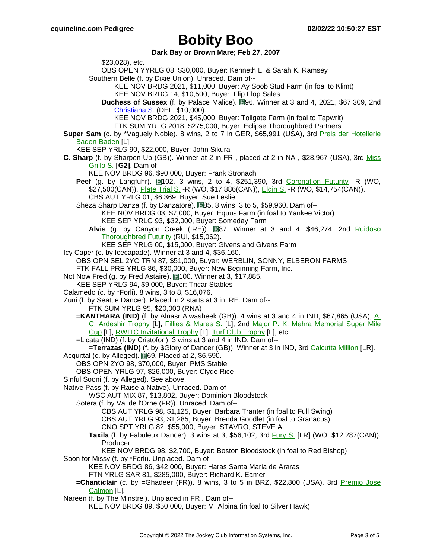**Dark Bay or Brown Mare; Feb 27, 2007**

\$23,028), etc. OBS OPEN YYRLG 08, \$30,000, Buyer: Kenneth L. & Sarah K. Ramsey Southern Belle (f. by Dixie Union). Unraced. Dam of-- KEE NOV BRDG 2021, \$11,000, Buyer: Ay Soob Stud Farm (in foal to Klimt) KEE NOV BRDG 14, \$10,500, Buyer: Flip Flop Sales **Duchess of Sussex** (f. by Palace Malice). **196.** Winner at 3 and 4, 2021, \$67,309, 2nd [Christiana](https://www.equineline.com/dotVideoChart.cfm?track=DEL&country=USA&race_date=2020-07-04&raceid=mp4:2020/1308/202007041545DLD6_1308.mp4&refno=10262951®istry=T&race_name=Christiana+S.&race_number=6&day_evening=D&product_reference_number=40PA) S. (DEL, \$10,000). KEE NOV BRDG 2021, \$45,000, Buyer: Tollgate Farm (in foal to Tapwrit) FTK SUM YRLG 2018, \$275,000, Buyer: Eclipse Thoroughbred Partners **Super Sam** (c. by \*Vaguely Noble). 8 wins, 2 to 7 in GER, \$65,991 (USA), 3rd Preis der [Hotellerie](https://www.equineline.com/dotVideoChart.cfm?track=BAD&country=GER&race_date=1992-05-27&refno=1239709®istry=T&race_name=Preis+der+Hotellerie+Baden-Baden&race_number=30235&day_evening=D&product_reference_number=40PA) [Baden-Baden](https://www.equineline.com/dotVideoChart.cfm?track=BAD&country=GER&race_date=1992-05-27&refno=1239709®istry=T&race_name=Preis+der+Hotellerie+Baden-Baden&race_number=30235&day_evening=D&product_reference_number=40PA) [L]. KEE SEP YRLG 90, \$22,000, Buyer: John Sikura **C. Sharp** (f. by Sharpen Up (GB)). Winner at 2 in FR , placed at 2 in NA , \$28,967 (USA), 3rd Mi[ss](https://www.equineline.com/dotVideoChart.cfm?track=AQU&country=USA&race_date=1988-11-05&refno=1095768®istry=T&race_name=Miss+Grillo+S.&race_number=5&day_evening=D&product_reference_number=40PA) [Grillo](https://www.equineline.com/dotVideoChart.cfm?track=AQU&country=USA&race_date=1988-11-05&refno=1095768®istry=T&race_name=Miss+Grillo+S.&race_number=5&day_evening=D&product_reference_number=40PA) S. **[G2]**. Dam of-- KEE NOV BRDG 96, \$90,000, Buyer: Frank Stronach **Peef** (g. by Langfuhr). 1102. 3 wins, 2 to 4, \$251,390, 3rd Coronation [Futurity](https://www.equineline.com/dotVideoChart.cfm?track=WO+&country=CAN&race_date=2002-11-02&refno=5305692®istry=T&race_name=Coronation+Futurity&race_number=9&day_evening=D&product_reference_number=40PA) -R (WO, \$27,500(CAN)), [Plate](https://www.equineline.com/dotVideoChart.cfm?track=WO+&country=CAN&race_date=2003-05-31&refno=5305692®istry=T&race_name=Plate+Trial+S.&race_number=8&day_evening=D&product_reference_number=40PA) Trial S. -R (WO, \$17,886(CAN)), [Elgin](https://www.equineline.com/dotVideoChart.cfm?track=WO+&country=CAN&race_date=2004-09-05&refno=5305692®istry=T&race_name=Elgin+S.&race_number=7&day_evening=D&product_reference_number=40PA) S. -R (WO, \$14,754(CAN)). CBS AUT YRLG 01, \$6,369, Buyer: Sue Leslie Sheza Sharp Danza (f. by Danzatore). 885. 8 wins, 3 to 5, \$59,960. Dam of--KEE NOV BRDG 03, \$7,000, Buyer: Equus Farm (in foal to Yankee Victor) KEE SEP YRLG 93, \$32,000, Buyer: Someday Farm Alvis (g. by Canyon Creek (IRE)). **1987.** Winner at 3 and 4, \$46,274, 2nd Ruidoso [Thoroughbred](https://www.equineline.com/dotVideoChart.cfm?track=RUI&country=USA&race_date=2001-09-02&refno=4844630®istry=T&race_name=Ruidoso+Thoroughbred+Futurity&race_number=9&day_evening=D&product_reference_number=40PA) Futurity (RUI, \$15,062). KEE SEP YRLG 00, \$15,000, Buyer: Givens and Givens Farm Icy Caper (c. by Icecapade). Winner at 3 and 4, \$36,160. OBS OPN SEL 2YO TRN 87, \$51,000, Buyer: WERBLIN, SONNY, ELBERON FARMS FTK FALL PRE YRLG 86, \$30,000, Buyer: New Beginning Farm, Inc. Not Now Fred (g. by Fred Astaire). 100. Winner at 3, \$17,885. KEE SEP YRLG 94, \$9,000, Buyer: Tricar Stables Calamedo (c. by \*Forli). 8 wins, 3 to 8, \$16,076. Zuni (f. by Seattle Dancer). Placed in 2 starts at 3 in IRE. Dam of-- FTK SUM YRLG 95, \$20,000 (RNA) **=KANTHARA (IND)** (f. by Alnasr Alwasheek (GB)). 4 wins at 3 and 4 in IND, \$67,865 (USA), A. C. [Ardeshir](https://www.equineline.com/dotVideoChart.cfm?track=MUM&country=IND&race_date=2004-12-05&refno=6833905®istry=T&race_name=A.+C.+Ardeshir+Trophy&race_number=61792&day_evening=D&product_reference_number=40PA) Trophy [L], Fillies & [Mares](https://www.equineline.com/dotVideoChart.cfm?track=PUN&country=IND&race_date=2004-10-03&refno=6833905®istry=T&race_name=Fillies+&+Mares+S.&race_number=64421&day_evening=D&product_reference_number=40PA) S. [L], 2nd Major P. K. Mehra [Memorial](https://www.equineline.com/dotVideoChart.cfm?track=MUM&country=IND&race_date=2004-03-07&refno=6833905®istry=T&race_name=Major+P.+K.+Mehra+Memorial+Super+Mile+Cup&race_number=65126&day_evening=D&product_reference_number=40PA) Super Mile [Cup](https://www.equineline.com/dotVideoChart.cfm?track=MUM&country=IND&race_date=2004-03-07&refno=6833905®istry=T&race_name=Major+P.+K.+Mehra+Memorial+Super+Mile+Cup&race_number=65126&day_evening=D&product_reference_number=40PA) [L], RWITC [Invitational](https://www.equineline.com/dotVideoChart.cfm?track=PUN&country=IND&race_date=2004-10-31&refno=6833905®istry=T&race_name=RWITC+Invitational+Trophy&race_number=61154&day_evening=D&product_reference_number=40PA) [Trophy](https://www.equineline.com/dotVideoChart.cfm?track=PUN&country=IND&race_date=2004-08-22&refno=6833905®istry=T&race_name=Turf+Club+Trophy&race_number=61022&day_evening=D&product_reference_number=40PA) [L], Turf Club Trophy [L], etc. =Licata (IND) (f. by Cristofori). 3 wins at 3 and 4 in IND. Dam of-- **=Terrazas (IND)** (f. by \$Glory of Dancer (GB)). Winner at 3 in IND, 3rd [Calcutta](https://www.equineline.com/dotVideoChart.cfm?track=KOL&country=IND&race_date=2009-03-28&refno=8585431®istry=T&race_name=Calcutta+Million&race_number=65524&day_evening=D&product_reference_number=40PA) Million [LR]. Acquittal (c. by Alleged). 169. Placed at 2, \$6,590. OBS OPN 2YO 98, \$70,000, Buyer: PMS Stable OBS OPEN YRLG 97, \$26,000, Buyer: Clyde Rice Sinful Sooni (f. by Alleged). See above. Native Pass (f. by Raise a Native). Unraced. Dam of-- WSC AUT MIX 87, \$13,802, Buyer: Dominion Bloodstock Sotera (f. by Val de l'Orne (FR)). Unraced. Dam of-- CBS AUT YRLG 98, \$1,125, Buyer: Barbara Tranter (in foal to Full Swing) CBS AUT YRLG 93, \$1,285, Buyer: Brenda Goodlet (in foal to Granacus) CNO SPT YRLG 82, \$55,000, Buyer: STAVRO, STEVE A. **Taxila** (f. by Fabuleux Dancer). 3 wins at 3, \$56,102, 3rd F[ury](https://www.equineline.com/dotVideoChart.cfm?track=WO+&country=CAN&race_date=1988-05-22&refno=1056195®istry=T&race_name=Fury+S.&race_number=9&day_evening=D&product_reference_number=40PA) S. [LR] (WO, \$12,287(CAN)). Producer. KEE NOV BRDG 98, \$2,700, Buyer: Boston Bloodstock (in foal to Red Bishop) Soon for Missy (f. by \*Forli). Unplaced. Dam of-- KEE NOV BRDG 86, \$42,000, Buyer: Haras Santa Maria de Araras FTN YRLG SAR 81, \$285,000, Buyer: Richard K. Eamer **=Chanticlair** (c. by =Ghadeer (FR)). 8 wins, 3 to 5 in BRZ, \$22,800 (USA), 3rd Premio [Jose](https://www.equineline.com/dotVideoChart.cfm?track=GVA&country=BRZ&race_date=1993-03-28&refno=1601983®istry=T&race_name=Premio+Jose+Calmon&race_number=92&day_evening=D&product_reference_number=40PA) [Calmon](https://www.equineline.com/dotVideoChart.cfm?track=GVA&country=BRZ&race_date=1993-03-28&refno=1601983®istry=T&race_name=Premio+Jose+Calmon&race_number=92&day_evening=D&product_reference_number=40PA) [L]. Nareen (f. by The Minstrel). Unplaced in FR . Dam of--

KEE NOV BRDG 89, \$50,000, Buyer: M. Albina (in foal to Silver Hawk)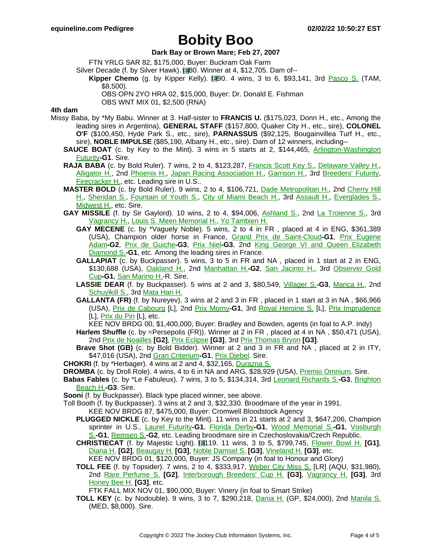#### **Dark Bay or Brown Mare; Feb 27, 2007**

FTN YRLG SAR 82, \$175,000, Buyer: Buckram Oak Farm

Silver Decade (f. by Silver Hawk). **180.** Winner at 4, \$12,705. Dam of--

- **Kipper Chemo** (g. by Kipper Kelly). **19**0. 4 wins, 3 to 6, \$93,141, 3rd Pasco S. [\(TAM,](https://www.equineline.com/dotVideoChart.cfm?track=TAM&country=USA&race_date=2003-01-18&refno=5307147®istry=T&race_name=Pasco+S.&race_number=10&day_evening=D&product_reference_number=40PA) \$8,500).
	- OBS OPN 2YO HRA 02, \$15,000, Buyer: Dr. Donald E. Fishman

OBS WNT MIX 01, \$2,500 (RNA)

### **4th dam**

- Missy Baba, by \*My Babu. Winner at 3. Half-sister to **FRANCIS U.** (\$175,023, Donn H., etc., Among the leading sires in Argentina), **GENERAL STAFF** (\$157,800, Quaker City H., etc., sire), **COLONEL O'F** (\$100,450, Hyde Park S., etc., sire), **PARNASSUS** (\$92,125, Bougainvillea Turf H., etc., sire), **NOBLE IMPULSE** (\$85,190, Albany H., etc., sire). Dam of 12 winners, including--
	- **SAUCE BOAT** (c. by Key to the Mint). 3 wins in 5 starts at 2, \$144,465, Arlingto[n-Washington](https://www.equineline.com/dotVideoChart.cfm?track=AP+&country=USA&race_date=1977-09-24&refno=630690®istry=T&race_name=Arlington-Washington+Futurity&race_number=8&day_evening=D&product_reference_number=40PA) [Futurity](https://www.equineline.com/dotVideoChart.cfm?track=AP+&country=USA&race_date=1977-09-24&refno=630690®istry=T&race_name=Arlington-Washington+Futurity&race_number=8&day_evening=D&product_reference_number=40PA)**-G1**. Sire.
	- **RAJA BABA** (c. by Bold Ruler). 7 wins, 2 to 4, \$123,287, F[rancis](https://www.equineline.com/dotVideoChart.cfm?track=BOW&country=USA&race_date=1971-04-10&refno=403667®istry=T&race_name=Francis+Scott+Key+S.&race_number=8&day_evening=D&product_reference_number=40PA) Scott Key S., D[elaware](https://www.equineline.com/dotVideoChart.cfm?track=GS+&country=USA&race_date=1971-04-17&refno=403667®istry=T&race_name=Delaware+Valley+H.&race_number=8&day_evening=D&product_reference_number=40PA) Valley H., [Alligator](https://www.equineline.com/dotVideoChart.cfm?track=TRP&country=USA&race_date=1970-11-21&refno=403667®istry=T&race_name=Alligator+H.&race_number=7&day_evening=D&product_reference_number=40PA) H., 2nd [Phoenix](https://www.equineline.com/dotVideoChart.cfm?track=KEE&country=USA&race_date=1972-04-08&refno=403667®istry=T&race_name=Phoenix+H.&race_number=7&day_evening=D&product_reference_number=40PA) H., Japan Racing [Association](https://www.equineline.com/dotVideoChart.cfm?track=LRL&country=USA&race_date=1972-11-04&refno=403667®istry=T&race_name=Japan+Racing+Association+H.&race_number=8&day_evening=D&product_reference_number=40PA) H., Ga[rrison](https://www.equineline.com/dotVideoChart.cfm?track=LIB&country=USA&race_date=1972-11-23&refno=403667®istry=T&race_name=Garrison+H.&race_number=8&day_evening=D&product_reference_number=40PA) H., 3rd Breeders' [Futurity,](https://www.equineline.com/dotVideoChart.cfm?track=KEE&country=USA&race_date=1970-10-24&refno=403667®istry=T&race_name=Breeders) [Firecracker](https://www.equineline.com/dotVideoChart.cfm?track=LIB&country=USA&race_date=1972-07-04&refno=403667®istry=T&race_name=Firecracker+H.&race_number=8&day_evening=D&product_reference_number=40PA) H., etc. Leading sire in U.S..
	- **MASTER BOLD** (c. by Bold Ruler). 9 wins, 2 to 4, \$106,721, Dade [Metropolitan](https://www.equineline.com/dotVideoChart.cfm?track=TRP&country=USA&race_date=1968-01-13&refno=302026®istry=T&race_name=Dade+Metropolitan+H.&race_number=9&day_evening=D&product_reference_number=40PA) H., 2nd Ch[erry](https://www.equineline.com/dotVideoChart.cfm?track=GS+&country=USA&race_date=1969-04-26&refno=302026®istry=T&race_name=Cherry+Hill+H.&race_number=8&day_evening=D&product_reference_number=40PA) Hill H., [Sheridan](https://www.equineline.com/dotVideoChart.cfm?track=AP+&country=USA&race_date=1968-05-25&refno=302026®istry=T&race_name=Sheridan+S.&race_number=8&day_evening=D&product_reference_number=40PA) S., F[ountain](https://www.equineline.com/dotVideoChart.cfm?track=GP+&country=USA&race_date=1968-03-20&refno=302026®istry=T&race_name=Fountain+of+Youth+S.&race_number=9&day_evening=D&product_reference_number=40PA) of Youth S., City of Miami [Beach](https://www.equineline.com/dotVideoChart.cfm?track=TRP&country=USA&race_date=1967-12-30&refno=302026®istry=T&race_name=City+of+Miami+Beach+H.&race_number=9&day_evening=D&product_reference_number=40PA) H., 3rd Assault H., [Eve](https://www.equineline.com/dotVideoChart.cfm?track=AP+&country=USA&race_date=1968-07-20&refno=302026®istry=T&race_name=Assault+H.&race_number=8&day_evening=D&product_reference_number=40PA)rg[lades](https://www.equineline.com/dotVideoChart.cfm?track=HIA&country=USA&race_date=1968-02-21&refno=302026®istry=T&race_name=Everglades+S.&race_number=8&day_evening=D&product_reference_number=40PA) S., [Midwest](https://www.equineline.com/dotVideoChart.cfm?track=HAW&country=USA&race_date=1969-09-20&refno=302026®istry=T&race_name=Midwest+H.&race_number=8&day_evening=D&product_reference_number=40PA) H., etc. Sire.
	- GAY MISSILE (f. by Sir Gaylord). 10 wins, 2 to 4, \$94,006, Ashland [S., 2n](https://www.equineline.com/dotVideoChart.cfm?track=KEE&country=USA&race_date=1970-04-11&refno=182219®istry=T&race_name=Ashland+S.&race_number=6&day_evening=D&product_reference_number=40PA)d La Troienne [S., 3rd](https://www.equineline.com/dotVideoChart.cfm?track=CD+&country=USA&race_date=1970-04-25&refno=182219®istry=T&race_name=La+Troienne+S.&race_number=8&day_evening=D&product_reference_number=40PA) [Vagrancy](https://www.equineline.com/dotVideoChart.cfm?track=BEL&country=USA&race_date=1971-06-09&refno=182219®istry=T&race_name=Vagrancy+H.&race_number=7&day_evening=D&product_reference_number=40PA) H., Louis S. Meen [Memorial](https://www.equineline.com/dotVideoChart.cfm?track=SPT&country=USA&race_date=1971-10-23&refno=182219®istry=T&race_name=Louis+S.+Meen+Memorial+H.&race_number=8&day_evening=D&product_reference_number=40PA) H., Yo [Tambien](https://www.equineline.com/dotVideoChart.cfm?track=HAW&country=USA&race_date=1971-09-01&refno=182219®istry=T&race_name=Yo+Tambien+H.&race_number=8&day_evening=D&product_reference_number=40PA) H.
		- **GAY MECENE** (c. by \*Vaguely Noble). 5 wins, 2 to 4 in FR , placed at 4 in ENG, \$361,389 (USA), Champion older horse in France, Grand Prix de [Saint-Cloud](https://www.equineline.com/dotVideoChart.cfm?track=STC&country=FR+&race_date=1979-07-01&refno=644390®istry=T&race_name=Grand+Prix+de+Saint-Cloud&race_number=571&day_evening=D&product_reference_number=40PA)**-G1**, Prix Eug[ene](https://www.equineline.com/dotVideoChart.cfm?track=STC&country=FR+&race_date=1978-07-16&refno=644390®istry=T&race_name=Prix+Eugene+Adam&race_number=2027&day_evening=D&product_reference_number=40PA) Adam**-G2**, Prix de [Guiche](https://www.equineline.com/dotVideoChart.cfm?track=LCH&country=FR+&race_date=1978-04-16&refno=644390®istry=T&race_name=Prix+de+Guiche&race_number=642&day_evening=D&product_reference_number=40PA)**-G3**, Prix [Niel](https://www.equineline.com/dotVideoChart.cfm?track=LCH&country=FR+&race_date=1978-09-10&refno=644390®istry=T&race_name=Prix+Niel&race_number=3016&day_evening=D&product_reference_number=40PA)**-G3**, 2nd King George VI and Queen [Elizabeth](https://www.equineline.com/dotVideoChart.cfm?track=+++&country=ENG&race_date=1979-07-28&refno=644390®istry=T&race_name=King+George+VI+and+Queen+Elizabeth+Diamond+S.&race_number=90001&day_evening=D&product_reference_number=40PA) [Diamond](https://www.equineline.com/dotVideoChart.cfm?track=+++&country=ENG&race_date=1979-07-28&refno=644390®istry=T&race_name=King+George+VI+and+Queen+Elizabeth+Diamond+S.&race_number=90001&day_evening=D&product_reference_number=40PA) S.**-G1**, etc. Among the leading sires in France.
		- **GALLAPIAT** (c. by Buckpasser). 5 wins, 3 to 5 in FR and NA , placed in 1 start at 2 in ENG, \$130,688 (USA), [Oakland](https://www.equineline.com/dotVideoChart.cfm?track=GG+&country=USA&race_date=1978-06-10&refno=179582®istry=T&race_name=Oakland+H.&race_number=8&day_evening=D&product_reference_number=40PA) H., 2nd M[anhattan](https://www.equineline.com/dotVideoChart.cfm?track=BEL&country=USA&race_date=1977-09-28&refno=179582®istry=T&race_name=Manhattan+H.&race_number=8&day_evening=D&product_reference_number=40PA) H.**-G2**, San [Jacinto](https://www.equineline.com/dotVideoChart.cfm?track=SA+&country=USA&race_date=1978-04-08&refno=179582®istry=T&race_name=San+Jacinto+H.&race_number=5&day_evening=D&product_reference_number=40PA) H., 3rd Observer [Gold](https://www.equineline.com/dotVideoChart.cfm?track=+++&country=ENG&race_date=1975-01-01&refno=179582®istry=T&race_name=Observer+Gold+Cup&race_number=90182&day_evening=D&product_reference_number=40PA) Cup**-G1**, San [Marino](https://www.equineline.com/dotVideoChart.cfm?track=SA+&country=USA&race_date=1978-03-22&refno=179582®istry=T&race_name=San+Marino+H.&race_number=5&day_evening=D&product_reference_number=40PA) H.-R. Sire.
		- **LASSIE DEAR** (f. by Buckpasser). 5 wins at 2 and 3, \$80,549, Vill[ager](https://www.equineline.com/dotVideoChart.cfm?track=KEY&country=USA&race_date=1976-09-11&refno=601380®istry=T&race_name=Villager+S.&race_number=8&day_evening=D&product_reference_number=40PA) S.**-G3**, Marica [H., 2nd](https://www.equineline.com/dotVideoChart.cfm?track=HAW&country=USA&race_date=1977-05-21&refno=601380®istry=T&race_name=Marica+H.&race_number=8&day_evening=D&product_reference_number=40PA) [Schuylkill](https://www.equineline.com/dotVideoChart.cfm?track=KEY&country=USA&race_date=1976-08-21&refno=601380®istry=T&race_name=Schuylkill+S.&race_number=8&day_evening=D&product_reference_number=40PA) S., 3rd [Mata](https://www.equineline.com/dotVideoChart.cfm?track=HAW&country=USA&race_date=1977-10-10&refno=601380®istry=T&race_name=Mata+Hari+H.&race_number=8&day_evening=D&product_reference_number=40PA) Hari H.
		- **GALLANTA (FR)** (f. by Nureyev). 3 wins at 2 and 3 in FR , placed in 1 start at 3 in NA , \$66,966 (USA), Prix de [Cabourg](https://www.equineline.com/dotVideoChart.cfm?track=DEA&country=FR+&race_date=1984-08-04&refno=961537®istry=T&race_name=Prix+de+Cabourg&race_number=734&day_evening=D&product_reference_number=40PA) [L], 2nd Prix [Morny](https://www.equineline.com/dotVideoChart.cfm?track=DEA&country=FR+&race_date=1984-08-15&refno=961537®istry=T&race_name=Prix+Morny&race_number=771&day_evening=D&product_reference_number=40PA)**-G1**, 3rd Royal [Heroine](https://www.equineline.com/dotVideoChart.cfm?track=AQU&country=USA&race_date=1985-11-01&refno=961537®istry=T&race_name=Royal+Heroine+S.&race_number=6&day_evening=D&product_reference_number=40PA) S. [L], Prix [Imprudence](https://www.equineline.com/dotVideoChart.cfm?track=ML+&country=FR+&race_date=1985-04-09&refno=961537®istry=T&race_name=Prix+Imprudence&race_number=136&day_evening=D&product_reference_number=40PA) [L], [Prix](https://www.equineline.com/dotVideoChart.cfm?track=LCH&country=FR+&race_date=1985-10-13&refno=961537®istry=T&race_name=Prix+du+Pin&race_number=1013&day_evening=D&product_reference_number=40PA) du Pin [L], etc.
		- KEE NOV BRDG 00, \$1,400,000, Buyer: Bradley and Bowden, agents (in foal to A.P. Indy)
		- **Harlem Shuffle** (c. by =Persepolis (FR)). Winner at 2 in FR , placed at 4 in NA , \$50,471 (USA), 2nd Prix de [Noailles](https://www.equineline.com/dotVideoChart.cfm?track=LCH&country=FR+&race_date=1987-04-20&refno=970738®istry=T&race_name=Prix+de+Noailles&race_number=172&day_evening=D&product_reference_number=40PA) **[G2]**, Prix [Eclipse](https://www.equineline.com/dotVideoChart.cfm?track=STC&country=FR+&race_date=1986-10-02&refno=970738®istry=T&race_name=Prix+Eclipse&race_number=978&day_evening=D&product_reference_number=40PA) **[G3]**, 3rd Prix [Thomas](https://www.equineline.com/dotVideoChart.cfm?track=STC&country=FR+&race_date=1986-10-17&refno=970738®istry=T&race_name=Prix+Thomas+Bryon&race_number=1046&day_evening=D&product_reference_number=40PA) Bryon **[G3]**.
		- **Brave Shot (GB)** (c. by Bold Bidder). Winner at 2 and 3 in FR and NA , placed at 2 in ITY, \$47,016 (USA), 2nd *Gran [Criterium](https://www.equineline.com/dotVideoChart.cfm?track=MIL&country=ITY&race_date=1978-10-08&refno=714804®istry=T&race_name=Gran+Criterium&race_number=90001&day_evening=D&product_reference_number=40PA)-G1*, *Prix [Djebel](https://www.equineline.com/dotVideoChart.cfm?track=ML+&country=FR+&race_date=1979-04-11&refno=714804®istry=T&race_name=Prix+Djebel&race_number=173&day_evening=D&product_reference_number=40PA)*. Sire.
	- **CHOKRI** (f. by \*Herbager). 4 wins at 2 and 4, \$32,165, [Durazna](https://www.equineline.com/dotVideoChart.cfm?track=HAW&country=USA&race_date=1968-09-13&refno=88817®istry=T&race_name=Durazna+S.&race_number=8&day_evening=D&product_reference_number=40PA) S.
	- **DROMBA** (c. by Droll Role). 4 wins, 4 to 6 in NA and ARG, \$28,929 (USA), Premio [Omnium](https://www.equineline.com/dotVideoChart.cfm?track=HAR&country=ARG&race_date=1981-05-29&refno=601360®istry=T&race_name=Premio+Omnium&race_number=90001&day_evening=D&product_reference_number=40PA). Sire.
	- **Babas Fables** (c. by \*Le Fabuleux). 7 wins, 3 to 5, \$134,314, 3rd Leonard [Richards](https://www.equineline.com/dotVideoChart.cfm?track=DEL&country=USA&race_date=1976-08-29&refno=23994®istry=T&race_name=Leonard+Richards+S.&race_number=8&day_evening=D&product_reference_number=40PA) S.**-G3**, B[righton](https://www.equineline.com/dotVideoChart.cfm?track=BEL&country=USA&race_date=1977-09-07&refno=23994®istry=T&race_name=Brighton+Beach+H.&race_number=8&day_evening=D&product_reference_number=40PA) [Beach](https://www.equineline.com/dotVideoChart.cfm?track=BEL&country=USA&race_date=1977-09-07&refno=23994®istry=T&race_name=Brighton+Beach+H.&race_number=8&day_evening=D&product_reference_number=40PA) H.**-G3**. Sire.
	- **Sooni** (f. by Buckpasser). Black type placed winner, see above.
	- Toll Booth (f. by Buckpasser). 3 wins at 2 and 3, \$32,330. Broodmare of the year in 1991.
		- KEE NOV BRDG 87, \$475,000, Buyer: Cromwell Bloodstock Agency
		- **PLUGGED NICKLE** (c. by Key to the Mint). 11 wins in 21 starts at 2 and 3, \$647,206, Champion sprinter in U.S., Laurel [Futurity](https://www.equineline.com/dotVideoChart.cfm?track=PIM&country=USA&race_date=1979-10-27&refno=700216®istry=T&race_name=Laurel+Futurity&race_number=9&day_evening=D&product_reference_number=40PA)**-G1**, Florida [Derby](https://www.equineline.com/dotVideoChart.cfm?track=GP+&country=USA&race_date=1980-03-29&refno=700216®istry=T&race_name=Florida+Derby&race_number=9&day_evening=D&product_reference_number=40PA)**-G1**, Wood [Memorial](https://www.equineline.com/dotVideoChart.cfm?track=AQU&country=USA&race_date=1980-04-19&refno=700216®istry=T&race_name=Wood+Memorial+S.&race_number=8&day_evening=D&product_reference_number=40PA) S.**-G1**, Vosburgh S.**-G1**, [Remsen](https://www.equineline.com/dotVideoChart.cfm?track=AQU&country=USA&race_date=1979-11-11&refno=700216®istry=T&race_name=Remsen+S.&race_number=8&day_evening=D&product_reference_number=40PA) S.**-G2**, etc. Leading broodmare sire in Czechoslovakia/Czech Republic.
		- **CHRISTIECAT** (f. by Majestic Light). 119. 11 wins, 3 to 5, \$799,745, Flower [Bowl](https://www.equineline.com/dotVideoChart.cfm?track=BEL&country=USA&race_date=1992-09-12&refno=1154651®istry=T&race_name=Flower+Bowl+H.&race_number=8&day_evening=D&product_reference_number=40PA) H. **[G1]**, [Diana](https://www.equineline.com/dotVideoChart.cfm?track=SAR&country=USA&race_date=1991-08-12&refno=1154651®istry=T&race_name=Diana+H.&race_number=8&day_evening=D&product_reference_number=40PA) H. **[G2]**, [Beaugay](https://www.equineline.com/dotVideoChart.cfm?track=BEL&country=USA&race_date=1992-05-10&refno=1154651®istry=T&race_name=Beaugay+H.&race_number=8&day_evening=D&product_reference_number=40PA) H. **[G3]**, Noble [Damsel](https://www.equineline.com/dotVideoChart.cfm?track=BEL&country=USA&race_date=1990-08-31&refno=1154651®istry=T&race_name=Noble+Damsel+S.&race_number=8&day_evening=D&product_reference_number=40PA) S. **[G3]**, [Vineland](https://www.equineline.com/dotVideoChart.cfm?track=GS+&country=USA&race_date=1991-05-25&refno=1154651®istry=T&race_name=Vineland+H.&race_number=9&day_evening=D&product_reference_number=40PA) H. **[G3]**, etc.
			- KEE NOV BRDG 01, \$120,000, Buyer: JS Company (in foal to Honour and Glory)
		- **TOLL FEE** (f. by Topsider). 7 wins, 2 to 4, \$333,917, Weber City [Miss](https://www.equineline.com/dotVideoChart.cfm?track=AQU&country=USA&race_date=1989-11-11&refno=1043184®istry=T&race_name=Weber+City+Miss+S.&race_number=7&day_evening=D&product_reference_number=40PA) S. [LR] (AQU, \$31,980), 2nd Rare [Perfume](https://www.equineline.com/dotVideoChart.cfm?track=BEL&country=USA&race_date=1988-10-08&refno=1043184®istry=T&race_name=Rare+Perfume+S.&race_number=6&day_evening=D&product_reference_number=40PA) S. **[G2]**, Int[erborough](https://www.equineline.com/dotVideoChart.cfm?track=AQU&country=USA&race_date=1990-01-01&refno=1043184®istry=T&race_name=Interborough+Breeders) Breeders' Cup H. **[G3]**, Vagrancy H. **[\[G3\]](https://www.equineline.com/dotVideoChart.cfm?track=BEL&country=USA&race_date=1989-06-25&refno=1043184®istry=T&race_name=Vagrancy+H.&race_number=8&day_evening=D&product_reference_number=40PA)**, 3rd [Honey](https://www.equineline.com/dotVideoChart.cfm?track=MED&country=USA&race_date=1988-11-26&refno=1043184®istry=T&race_name=Honey+Bee+H.&race_number=9&day_evening=D&product_reference_number=40PA) Bee H. **[G3]**, etc.
			- FTK FALL MIX NOV 01, \$90,000, Buyer: Vinery (in foal to Smart Strike)
		- **TOLL KEY** (c. by Nodouble). 9 wins, 3 to 7, \$290,218, D[ania](https://www.equineline.com/dotVideoChart.cfm?track=GP+&country=USA&race_date=1990-04-21&refno=934469®istry=T&race_name=Dania+H.&race_number=10&day_evening=D&product_reference_number=40PA) H. (GP, \$24,000), 2nd Ma[nila](https://www.equineline.com/dotVideoChart.cfm?track=MED&country=USA&race_date=1988-10-21&refno=934469®istry=T&race_name=Manila+S.&race_number=9&day_evening=D&product_reference_number=40PA) S. (MED, \$8,000). Sire.